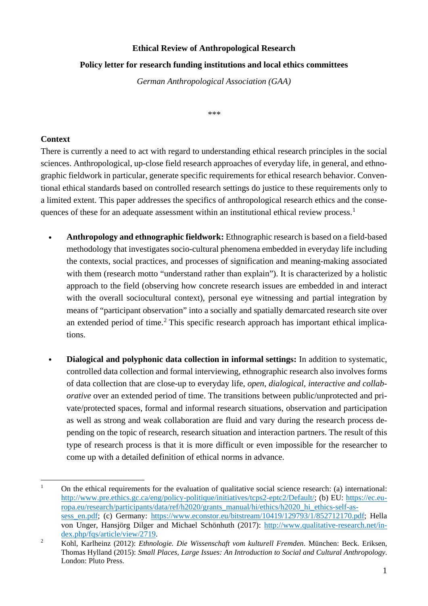## **Ethical Review of Anthropological Research**

## **Policy letter for research funding institutions and local ethics committees**

*German Anthropological Association (GAA)*

*\*\*\**

## **Context**

There is currently a need to act with regard to understanding ethical research principles in the social sciences. Anthropological, up-close field research approaches of everyday life, in general, and ethnographic fieldwork in particular, generate specific requirements for ethical research behavior. Conventional ethical standards based on controlled research settings do justice to these requirements only to a limited extent. This paper addresses the specifics of anthropological research ethics and the conse-quences of these for an adequate assessment within an institutional ethical review process.<sup>[1](#page-0-0)</sup>

- **• Anthropology and ethnographic fieldwork:** Ethnographic research is based on a field-based methodology that investigates socio-cultural phenomena embedded in everyday life including the contexts, social practices, and processes of signification and meaning-making associated with them (research motto "understand rather than explain"). It is characterized by a holistic approach to the field (observing how concrete research issues are embedded in and interact with the overall sociocultural context), personal eye witnessing and partial integration by means of "participant observation" into a socially and spatially demarcated research site over an extended period of time. [2](#page-0-1) This specific research approach has important ethical implications.
- **• Dialogical and polyphonic data collection in informal settings:** In addition to systematic, controlled data collection and formal interviewing, ethnographic research also involves forms of data collection that are close-up to everyday life, *open*, *dialogical, interactive and collaborative* over an extended period of time. The transitions between public/unprotected and private/protected spaces, formal and informal research situations, observation and participation as well as strong and weak collaboration are fluid and vary during the research process depending on the topic of research, research situation and interaction partners. The result of this type of research process is that it is more difficult or even impossible for the researcher to come up with a detailed definition of ethical norms in advance.

<span id="page-0-0"></span><sup>&</sup>lt;sup>1</sup> On the ethical requirements for the evaluation of qualitative social science research: (a) international: [http://www.pre.ethics.gc.ca/eng/policy-politique/initiatives/tcps2-eptc2/Default/;](http://www.pre.ethics.gc.ca/eng/policy-politique/initiatives/tcps2-eptc2/Default/) (b) EU: [https://ec.eu](https://ec.europa.eu/research/participants/data/ref/h2020/grants_manual/hi/ethics/h2020_hi_ethics-self-assess_en.pdf)[ropa.eu/research/participants/data/ref/h2020/grants\\_manual/hi/ethics/h2020\\_hi\\_ethics-self-as](https://ec.europa.eu/research/participants/data/ref/h2020/grants_manual/hi/ethics/h2020_hi_ethics-self-assess_en.pdf)[sess\\_en.pdf;](https://ec.europa.eu/research/participants/data/ref/h2020/grants_manual/hi/ethics/h2020_hi_ethics-self-assess_en.pdf) (c) Germany: [https://www.econstor.eu/bitstream/10419/129793/1/852712170.pdf;](https://www.econstor.eu/bitstream/10419/129793/1/852712170.pdf) Hella von Unger, Hansjörg Dilger and Michael Schönhuth (2017): [http://www.qualitative-research.net/in](http://www.qualitative-research.net/index.php/fqs/article/view/2719)[dex.php/fqs/article/view/2719.](http://www.qualitative-research.net/index.php/fqs/article/view/2719)

<span id="page-0-1"></span><sup>2</sup> Kohl, Karlheinz (2012): *Ethnologie. Die Wissenschaft vom kulturell Fremden*. München: Beck. Eriksen, Thomas Hylland (2015): *Small Places, Large Issues: An Introduction to Social and Cultural Anthropology*. London: Pluto Press.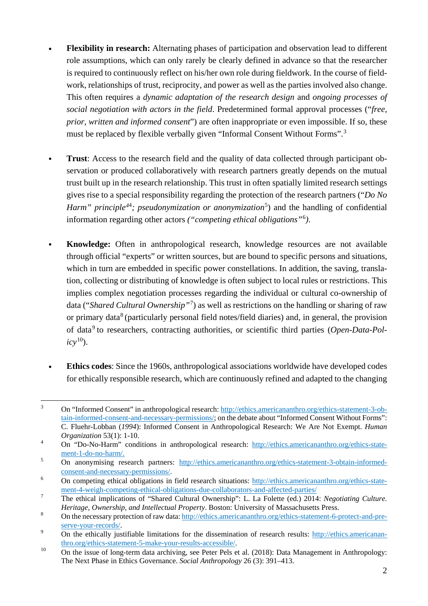- **• Flexibility in research:** Alternating phases of participation and observation lead to different role assumptions, which can only rarely be clearly defined in advance so that the researcher is required to continuously reflect on his/her own role during fieldwork. In the course of fieldwork, relationships of trust, reciprocity, and power as well as the parties involved also change. This often requires a *dynamic adaptation of the research design* and *ongoing processes of social negotiation with actors in the field*. Predetermined formal approval processes ("*free, prior, written and informed consent*") are often inappropriate or even impossible. If so, these must be replaced by flexible verbally given "Informal Consent Without Forms".[3](#page-1-0)
- **Trust:** Access to the research field and the quality of data collected through participant observation or produced collaboratively with research partners greatly depends on the mutual trust built up in the research relationship. This trust in often spatially limited research settings gives rise to a special responsibility regarding the protection of the research partners ("*Do No Harm" principle[4](#page-1-1)*<sup>4</sup> *; pseudonymization or anonymization*[5](#page-1-2) ) and the handling of confidential information regarding other actors *("competing ethical obligations"*[6](#page-1-3) *)*.
- **• Knowledge:** Often in anthropological research, knowledge resources are not available through official "experts" or written sources, but are bound to specific persons and situations, which in turn are embedded in specific power constellations. In addition, the saving, translation, collecting or distributing of knowledge is often subject to local rules or restrictions. This implies complex negotiation processes regarding the individual or cultural co-ownership of data ("*Shared Cultural Ownership"*[7](#page-1-4) ) as well as restrictions on the handling or sharing of raw or primary data<sup>[8](#page-1-5)</sup> (particularly personal field notes/field diaries) and, in general, the provision of data[9](#page-1-6) to researchers, contracting authorities, or scientific third parties (*Open-Data-Pol-* $icy^{10}$  $icy^{10}$  $icy^{10}$ ).
- **• Ethics codes**: Since the 1960s, anthropological associations worldwide have developed codes for ethically responsible research, which are continuously refined and adapted to the changing

<span id="page-1-0"></span> <sup>3</sup> On "Informed Consent" in anthropological research: [http://ethics.americananthro.org/ethics-statement-3-ob](http://ethics.americananthro.org/ethics-statement-3-obtain-informed-consent-and-necessary-permissions/)[tain-informed-consent-and-necessary-permissions/;](http://ethics.americananthro.org/ethics-statement-3-obtain-informed-consent-and-necessary-permissions/) on the debate about "Informed Consent Without Forms": C. Fluehr-Lobban (*1994*): Informed Consent in Anthropological Research: We Are Not Exempt. *Human Organization* 53(1): 1-10.

<span id="page-1-1"></span><sup>&</sup>lt;sup>4</sup> On "Do-No-Harm" conditions in anthropological research: [http://ethics.americananthro.org/ethics-state](http://ethics.americananthro.org/ethics-statement-1-do-no-harm/)[ment-1-do-no-harm/.](http://ethics.americananthro.org/ethics-statement-1-do-no-harm/)

<span id="page-1-2"></span><sup>&</sup>lt;sup>5</sup> On anonymising research partners: [http://ethics.americananthro.org/ethics-statement-3-obtain-informed](http://ethics.americananthro.org/ethics-statement-3-obtain-informed-consent-and-necessary-permissions/)[consent-and-necessary-permissions/](http://ethics.americananthro.org/ethics-statement-3-obtain-informed-consent-and-necessary-permissions/).

<span id="page-1-3"></span><sup>6</sup> On competing ethical obligations in field research situations: [http://ethics.americananthro.org/ethics-state](http://ethics.americananthro.org/ethics-statement-4-weigh-competing-ethical-obligations-due-collaborators-and-affected-parties/)[ment-4-weigh-competing-ethical-obligations-due-collaborators-and-affected-parties/](http://ethics.americananthro.org/ethics-statement-4-weigh-competing-ethical-obligations-due-collaborators-and-affected-parties/)

<span id="page-1-4"></span><sup>7</sup> The ethical implications of "Shared Cultural Ownership": L. La Folette (ed.) 2014: *Negotiating Culture. Heritage, Ownership, and Intellectual Property*. Boston: University of Massachusetts Press.

<span id="page-1-5"></span><sup>8</sup> On the necessary protection of raw data: [http://ethics.americananthro.org/ethics-statement-6-protect-and-pre](http://ethics.americananthro.org/ethics-statement-6-protect-and-preserve-your-records/)[serve-your-records/.](http://ethics.americananthro.org/ethics-statement-6-protect-and-preserve-your-records/)

<span id="page-1-6"></span><sup>&</sup>lt;sup>9</sup> On the ethically justifiable limitations for the dissemination of research results: [http://ethics.americanan](http://ethics.americananthro.org/ethics-statement-5-make-your-results-accessible/)[thro.org/ethics-statement-5-make-your-results-accessible/.](http://ethics.americananthro.org/ethics-statement-5-make-your-results-accessible/)

<span id="page-1-7"></span><sup>&</sup>lt;sup>10</sup> On the issue of long-term data archiving, see Peter Pels et al. (2018): Data Management in Anthropology: The Next Phase in Ethics Governance. *Social Anthropology* 26 (3): 391–413.